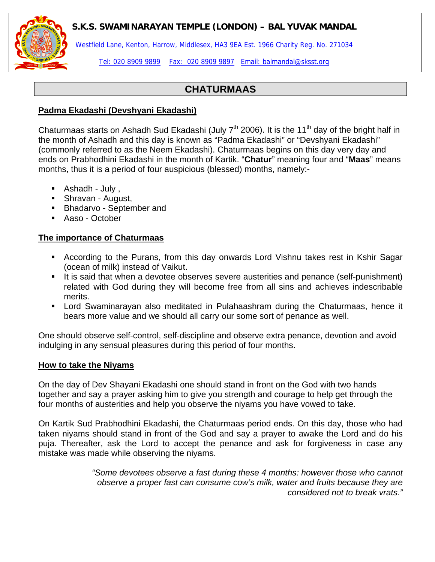## **S.K.S. SWAMINARAYAN TEMPLE (LONDON) – BAL YUVAK MANDAL**



Westfield Lane, Kenton, Harrow, Middlesex, HA3 9EA Est. 1966 Charity Reg. No. 271034

Tel: 020 8909 9899 Fax: 020 8909 9897 Email: balmandal@sksst.org

# **CHATURMAAS**

#### **Padma Ekadashi (Devshyani Ekadashi)**

Chaturmaas starts on Ashadh Sud Ekadashi (July  $7<sup>th</sup>$  2006). It is the 11<sup>th</sup> day of the bright half in the month of Ashadh and this day is known as "Padma Ekadashi" or "Devshyani Ekadashi" (commonly referred to as the Neem Ekadashi). Chaturmaas begins on this day very day and ends on Prabhodhini Ekadashi in the month of Kartik. "**Chatur**" meaning four and "**Maas**" means months, thus it is a period of four auspicious (blessed) months, namely:-

- Ashadh July ,
- **Shravan August,**
- **Bhadarvo September and**
- Aaso October

## **The importance of Chaturmaas**

- According to the Purans, from this day onwards Lord Vishnu takes rest in Kshir Sagar (ocean of milk) instead of Vaikut.
- It is said that when a devotee observes severe austerities and penance (self-punishment) related with God during they will become free from all sins and achieves indescribable merits.
- Lord Swaminarayan also meditated in Pulahaashram during the Chaturmaas, hence it bears more value and we should all carry our some sort of penance as well.

One should observe self-control, self-discipline and observe extra penance, devotion and avoid indulging in any sensual pleasures during this period of four months.

#### **How to take the Niyams**

On the day of Dev Shayani Ekadashi one should stand in front on the God with two hands together and say a prayer asking him to give you strength and courage to help get through the four months of austerities and help you observe the niyams you have vowed to take.

On Kartik Sud Prabhodhini Ekadashi, the Chaturmaas period ends. On this day, those who had taken niyams should stand in front of the God and say a prayer to awake the Lord and do his puja. Thereafter, ask the Lord to accept the penance and ask for forgiveness in case any mistake was made while observing the niyams.

> *"Some devotees observe a fast during these 4 months: however those who cannot observe a proper fast can consume cow's milk, water and fruits because they are considered not to break vrats."*